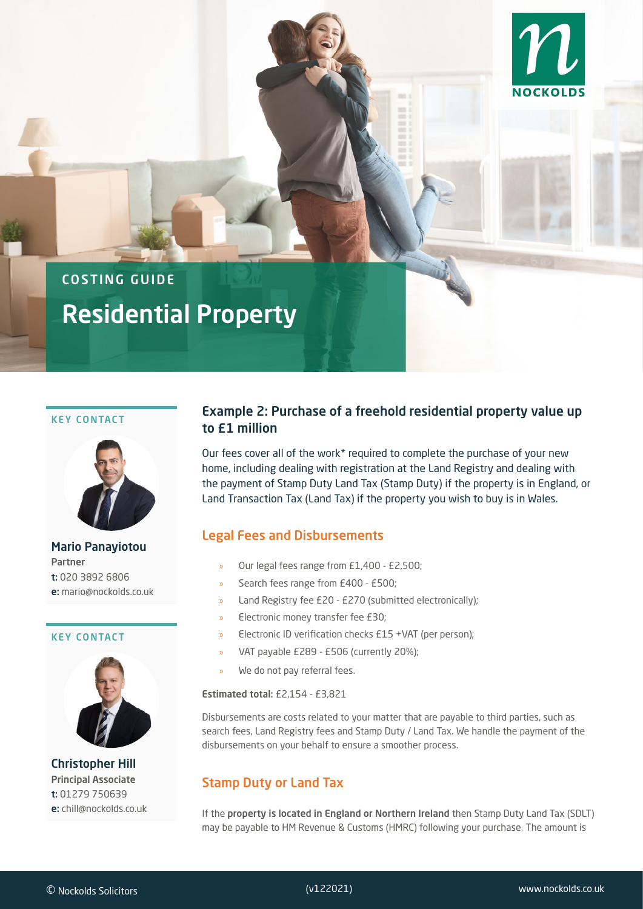

# COSTING GUIDE Residential Property

#### KEY CONTACT



Mario Panayiotou Partner t: 020 3892 6806 e: mario@nockolds.co.uk

#### KEY CONTACT



Christopher Hill Principal Associate t: 01279 750639 e: chill@nockolds.co.uk

## Example 2: Purchase of a freehold residential property value up to £1 million

Our fees cover all of the work\* required to complete the purchase of your new home, including dealing with registration at the Land Registry and dealing with the payment of Stamp Duty Land Tax (Stamp Duty) if the property is in England, or Land Transaction Tax (Land Tax) if the property you wish to buy is in Wales.

### Legal Fees and Disbursements

- » Our legal fees range from £1,400 £2,500;
- » Search fees range from £400 £500;
- » Land Registry fee £20 £270 (submitted electronically);
- » Electronic money transfer fee £30;
- » Electronic ID verification checks £15 +VAT (per person);
- » VAT payable £289 £506 (currently 20%);
- » We do not pay referral fees.

#### Estimated total: £2,154 - £3,821

Disbursements are costs related to your matter that are payable to third parties, such as search fees, Land Registry fees and Stamp Duty / Land Tax. We handle the payment of the disbursements on your behalf to ensure a smoother process.

## Stamp Duty or Land Tax

If the property is located in England or Northern Ireland then Stamp Duty Land Tax (SDLT) may be payable to HM Revenue & Customs (HMRC) following your purchase. The amount is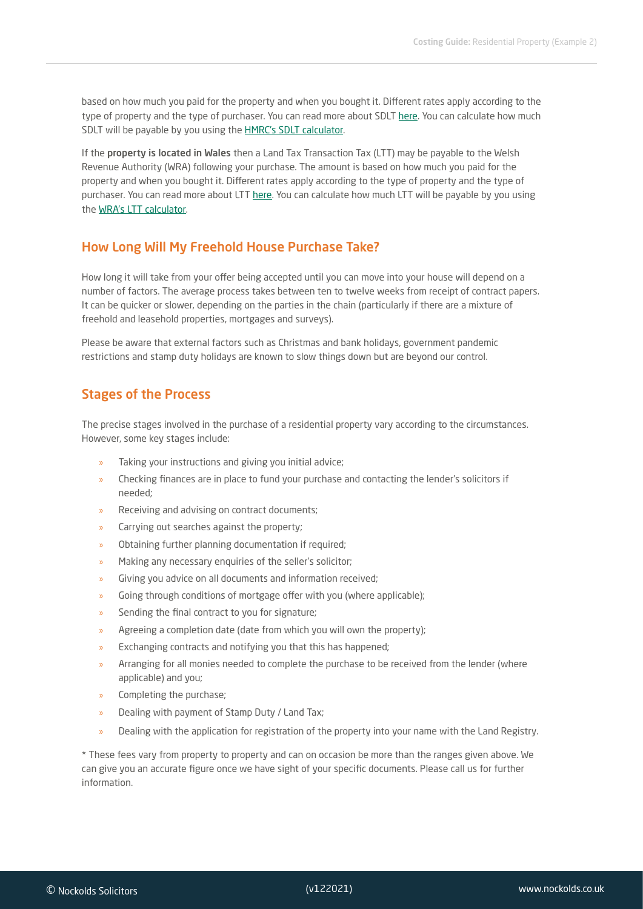based on how much you paid for the property and when you bought it. Different rates apply according to the type of property and the type of purchaser. You can read more about SDLT [here.](https://www.gov.uk/stamp-duty-land-tax) You can calculate how much SDLT will be payable by you using the [HMRC's SDLT calculator.](https://www.tax.service.gov.uk/calculate-stamp-duty-land-tax/%23/intro)

If the property is located in Wales then a Land Tax Transaction Tax (LTT) may be payable to the Welsh Revenue Authority (WRA) following your purchase. The amount is based on how much you paid for the property and when you bought it. Different rates apply according to the type of property and the type of purchaser. You can read more about LTT [here.](https://gov.wales/land-transaction-tax-guide) You can calculate how much LTT will be payable by you using the [WRA's LTT calculator](https://gov.wales/land-transaction-tax-calculator).

## How Long Will My Freehold House Purchase Take?

How long it will take from your offer being accepted until you can move into your house will depend on a number of factors. The average process takes between ten to twelve weeks from receipt of contract papers. It can be quicker or slower, depending on the parties in the chain (particularly if there are a mixture of freehold and leasehold properties, mortgages and surveys).

Please be aware that external factors such as Christmas and bank holidays, government pandemic restrictions and stamp duty holidays are known to slow things down but are beyond our control.

## Stages of the Process

The precise stages involved in the purchase of a residential property vary according to the circumstances. However, some key stages include:

- » Taking your instructions and giving you initial advice;
- » Checking finances are in place to fund your purchase and contacting the lender's solicitors if needed;
- » Receiving and advising on contract documents;
- » Carrying out searches against the property;
- » Obtaining further planning documentation if required;
- » Making any necessary enquiries of the seller's solicitor;
- Giving you advice on all documents and information received;
- » Going through conditions of mortgage offer with you (where applicable);
- Sending the final contract to you for signature;
- » Agreeing a completion date (date from which you will own the property);
- » Exchanging contracts and notifying you that this has happened;
- » Arranging for all monies needed to complete the purchase to be received from the lender (where applicable) and you;
- » Completing the purchase;
- » Dealing with payment of Stamp Duty / Land Tax;
- » Dealing with the application for registration of the property into your name with the Land Registry.

\* These fees vary from property to property and can on occasion be more than the ranges given above. We can give you an accurate figure once we have sight of your specific documents. Please call us for further information.